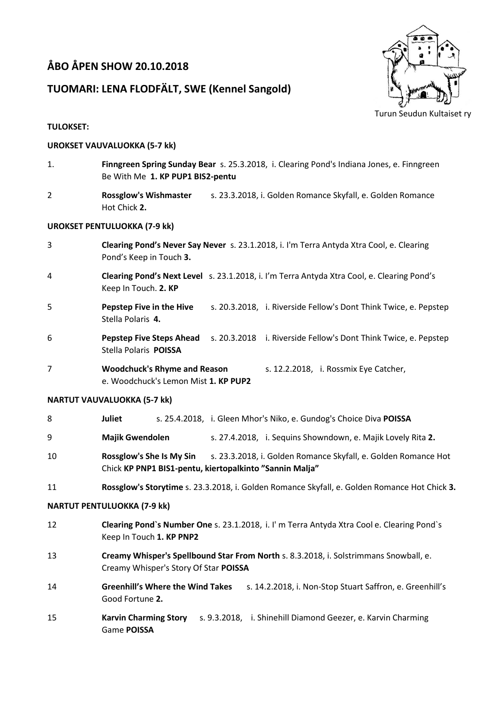# **ÅBO ÅPEN SHOW 20.10.2018**

## **TUOMARI: LENA FLODFÄLT, SWE (Kennel Sangold)**



## **TULOKSET:**

## **UROKSET VAUVALUOKKA (5-7 kk)**

- 1. **Finngreen Spring Sunday Bear** s. 25.3.2018, i. Clearing Pond's Indiana Jones, e. Finngreen Be With Me **1. KP PUP1 BIS2-pentu**
- 2 **Rossglow's Wishmaster** s. 23.3.2018, i. Golden Romance Skyfall, e. Golden Romance Hot Chick **2.**

## **UROKSET PENTULUOKKA (7-9 kk)**

- 3 **Clearing Pond's Never Say Never** s. 23.1.2018, i. I'm Terra Antyda Xtra Cool, e. Clearing Pond's Keep in Touch **3.**
- 4 **Clearing Pond's Next Level** s. 23.1.2018, i. I'm Terra Antyda Xtra Cool, e. Clearing Pond's Keep In Touch. **2. KP**
- 5 **Pepstep Five in the Hive** s. 20.3.2018, i. Riverside Fellow's Dont Think Twice, e. Pepstep Stella Polaris **4.**
- 6 **Pepstep Five Steps Ahead** s. 20.3.2018 i. Riverside Fellow's Dont Think Twice, e. Pepstep Stella Polaris **POISSA**
- 7 **Woodchuck's Rhyme and Reason** s. 12.2.2018, i. Rossmix Eye Catcher, e. Woodchuck's Lemon Mist **1. KP PUP2**

## **NARTUT VAUVALUOKKA (5-7 kk)**

- 8 **Juliet** s. 25.4.2018, i. Gleen Mhor's Niko, e. Gundog's Choice Diva **POISSA**
- 9 **Majik Gwendolen** s. 27.4.2018, i. Sequins Showndown, e. Majik Lovely Rita **2.**
- 10 **Rossglow's She Is My Sin** s. 23.3.2018, i. Golden Romance Skyfall, e. Golden Romance Hot Chick **KP PNP1 BIS1-pentu, kiertopalkinto "Sannin Malja"**
- 11 **Rossglow's Storytime** s. 23.3.2018, i. Golden Romance Skyfall, e. Golden Romance Hot Chick **3.**

## **NARTUT PENTULUOKKA (7-9 kk)**

- 12 **Clearing Pond`s Number One** s. 23.1.2018, i. I' m Terra Antyda Xtra Cool e. Clearing Pond`s Keep In Touch **1. KP PNP2**
- 13 **Creamy Whisper's Spellbound Star From North** s. 8.3.2018, i. Solstrimmans Snowball, e. Creamy Whisper's Story Of Star **POISSA**
- 14 **Greenhill's Where the Wind Takes** s. 14.2.2018, i. Non-Stop Stuart Saffron, e. Greenhill's Good Fortune **2.**
- 15 **Karvin Charming Story** s. 9.3.2018, i. Shinehill Diamond Geezer, e. Karvin Charming Game **POISSA**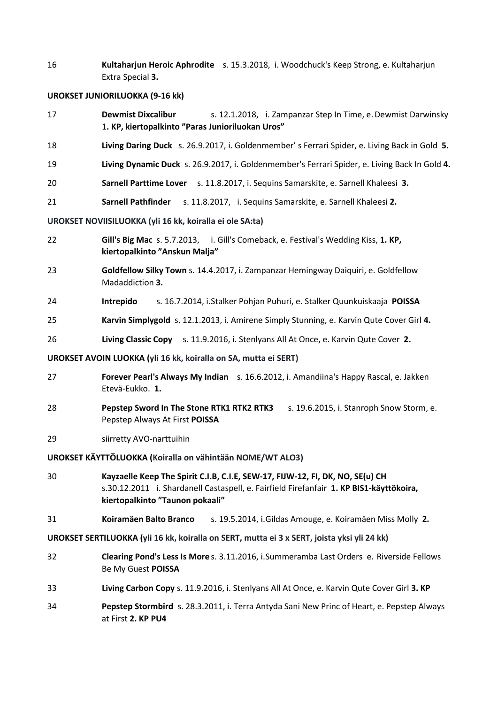16 **Kultaharjun Heroic Aphrodite** s. 15.3.2018, i. Woodchuck's Keep Strong, e. Kultaharjun Extra Special **3.**

#### **UROKSET JUNIORILUOKKA (9-16 kk)**

- 17 **Dewmist Dixcalibur** s. 12.1.2018, i. Zampanzar Step In Time, e.Dewmist Darwinsky 1**. KP, kiertopalkinto "Paras Junioriluokan Uros"**
- 18 **Living Daring Duck** s. 26.9.2017, i. Goldenmember' s Ferrari Spider, e. Living Back in Gold **5.**
- 19 **Living Dynamic Duck** s. 26.9.2017, i. Goldenmember's Ferrari Spider, e. Living Back In Gold **4.**
- 20 **Sarnell Parttime Lover** s. 11.8.2017, i. Sequins Samarskite, e. Sarnell Khaleesi **3.**
- 21 **Sarnell Pathfinder** s. 11.8.2017, i. Sequins Samarskite, e. Sarnell Khaleesi **2.**

#### **UROKSET NOVIISILUOKKA (yli 16 kk, koiralla ei ole SA:ta)**

- 22 **Gill's Big Mac** s. 5.7.2013, i. Gill's Comeback, e. Festival's Wedding Kiss, **1. KP, kiertopalkinto "Anskun Malja"**
- 23 **Goldfellow Silky Town** s. 14.4.2017, i. Zampanzar Hemingway Daiquiri, e. Goldfellow Madaddiction **3.**
- 24 **Intrepido** s. 16.7.2014, i.Stalker Pohjan Puhuri, e. Stalker Quunkuiskaaja **POISSA**
- 25 **Karvin Simplygold** s. 12.1.2013, i. Amirene Simply Stunning, e. Karvin Qute Cover Girl **4.**
- 26 **Living Classic Copy** s. 11.9.2016, i. Stenlyans All At Once, e. Karvin Qute Cover **2.**

#### **UROKSET AVOIN LUOKKA (yli 16 kk, koiralla on SA, mutta ei SERT)**

- 27 **Forever Pearl's Always My Indian** s. 16.6.2012, i. Amandiina's Happy Rascal, e. Jakken Etevä-Eukko. **1.**
- 28 **Pepstep Sword In The Stone RTK1 RTK2 RTK3** s. 19.6.2015, i. Stanroph Snow Storm, e. Pepstep Always At First **POISSA**
- 29 siirretty AVO-narttuihin

**UROKSET KÄYTTÖLUOKKA (Koiralla on vähintään NOME/WT ALO3)**

- 30 **Kayzaelle Keep The Spirit C.I.B, C.I.E, SEW-17, FIJW-12, FI, DK, NO, SE(u) CH** s.30.12.2011 i. Shardanell Castaspell, e. Fairfield Firefanfair **1. KP BIS1-käyttökoira, kiertopalkinto "Taunon pokaali"**
- 31 **Koiramäen Balto Branco** s. 19.5.2014, i.Gildas Amouge, e. Koiramäen Miss Molly **2.**
- **UROKSET SERTILUOKKA (yli 16 kk, koiralla on SERT, mutta ei 3 x SERT, joista yksi yli 24 kk)**
- 32 **Clearing Pond's Less Is More** s. 3.11.2016, i.Summeramba Last Orders e. Riverside Fellows Be My Guest **POISSA**
- 33 **Living Carbon Copy** s. 11.9.2016, i. Stenlyans All At Once, e. Karvin Qute Cover Girl **3. KP**
- 34 **Pepstep Stormbird** s. 28.3.2011, i. Terra Antyda Sani New Princ of Heart, e. Pepstep Always at First **2. KP PU4**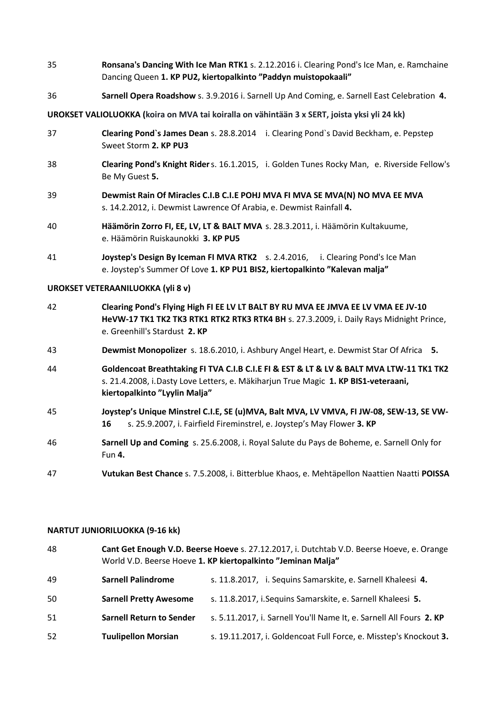- 35 **Ronsana's Dancing With Ice Man RTK1** s. 2.12.2016 i. Clearing Pond's Ice Man, e. Ramchaine Dancing Queen **1. KP PU2, kiertopalkinto "Paddyn muistopokaali"**
- 36 **Sarnell Opera Roadshow** s. 3.9.2016 i. Sarnell Up And Coming, e. Sarnell East Celebration **4.**

### **UROKSET VALIOLUOKKA (koira on MVA tai koiralla on vähintään 3 x SERT, joista yksi yli 24 kk)**

- 37 **Clearing Pond`s James Dean** s. 28.8.2014 i. Clearing Pond`s David Beckham, e. Pepstep Sweet Storm **2. KP PU3**
- 38 **Clearing Pond's Knight Rider**s. 16.1.2015, i. Golden Tunes Rocky Man, e. Riverside Fellow's Be My Guest **5.**
- 39 **Dewmist Rain Of Miracles C.I.B C.I.E POHJ MVA FI MVA SE MVA(N) NO MVA EE MVA** s. 14.2.2012, i. Dewmist Lawrence Of Arabia, e. Dewmist Rainfall **4.**
- 40 **Häämörin Zorro FI, EE, LV, LT & BALT MVA** s. 28.3.2011, i. Häämörin Kultakuume, e. Häämörin Ruiskaunokki **3. KP PU5**
- 41 **Joystep's Design By Iceman FI MVA RTK2** s. 2.4.2016, i. Clearing Pond's Ice Man e. Joystep's Summer Of Love **1. KP PU1 BIS2, kiertopalkinto "Kalevan malja"**

#### **UROKSET VETERAANILUOKKA (yli 8 v)**

- 42 **Clearing Pond's Flying High FI EE LV LT BALT BY RU MVA EE JMVA EE LV VMA EE JV-10 HeVW-17 TK1 TK2 TK3 RTK1 RTK2 RTK3 RTK4 BH** s. 27.3.2009, i. Daily Rays Midnight Prince, e. Greenhill's Stardust **2. KP**
- 43 **Dewmist Monopolizer** s. 18.6.2010, i. Ashbury Angel Heart, e. Dewmist Star Of Africa **5.**
- 44 **Goldencoat Breathtaking FI TVA C.I.B C.I.E FI & EST & LT & LV & BALT MVA LTW-11 TK1 TK2** s. 21.4.2008, i.Dasty Love Letters, e. Mäkiharjun True Magic **1. KP BIS1-veteraani, kiertopalkinto "Lyylin Malja"**
- 45 **Joystep's Unique Minstrel C.I.E, SE (u)MVA, Balt MVA, LV VMVA, FI JW-08, SEW-13, SE VW-16** s. 25.9.2007, i. Fairfield Fireminstrel, e. Joystep's May Flower **3. KP**
- 46 **Sarnell Up and Coming** s. 25.6.2008, i. Royal Salute du Pays de Boheme, e. Sarnell Only for Fun **4.**

47 **Vutukan Best Chance** s. 7.5.2008, i. Bitterblue Khaos, e. Mehtäpellon Naattien Naatti **POISSA**

#### **NARTUT JUNIORILUOKKA (9-16 kk)**

| 48 | Cant Get Enough V.D. Beerse Hoeve s. 27.12.2017, i. Dutchtab V.D. Beerse Hoeve, e. Orange<br>World V.D. Beerse Hoeve 1. KP kiertopalkinto "Jeminan Malja" |                                                                     |
|----|-----------------------------------------------------------------------------------------------------------------------------------------------------------|---------------------------------------------------------------------|
| 49 | <b>Sarnell Palindrome</b>                                                                                                                                 | s. 11.8.2017, i. Sequins Samarskite, e. Sarnell Khaleesi 4.         |
| 50 | <b>Sarnell Pretty Awesome</b>                                                                                                                             | s. 11.8.2017, i. Sequins Samarskite, e. Sarnell Khaleesi 5.         |
| 51 | <b>Sarnell Return to Sender</b>                                                                                                                           | s. 5.11.2017, i. Sarnell You'll Name It, e. Sarnell All Fours 2. KP |
| 52 | <b>Tuulipellon Morsian</b>                                                                                                                                | s. 19.11.2017, i. Goldencoat Full Force, e. Misstep's Knockout 3.   |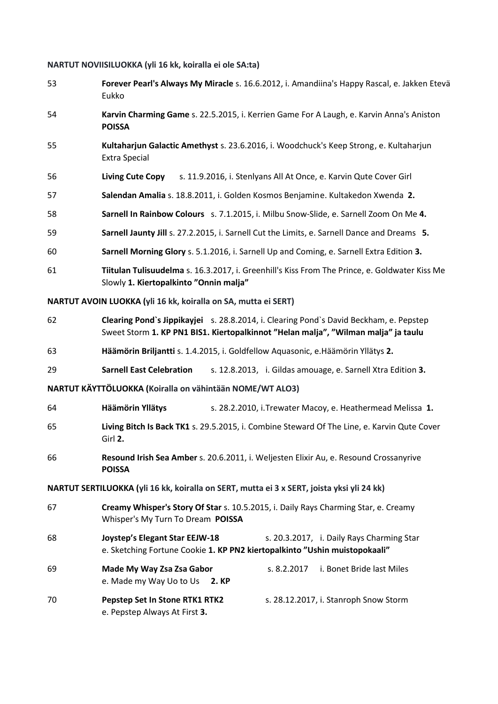## **NARTUT NOVIISILUOKKA (yli 16 kk, koiralla ei ole SA:ta)**

| 53                                                             | Forever Pearl's Always My Miracle s. 16.6.2012, i. Amandiina's Happy Rascal, e. Jakken Etevä<br>Eukko                                                                        |  |  |  |
|----------------------------------------------------------------|------------------------------------------------------------------------------------------------------------------------------------------------------------------------------|--|--|--|
| 54                                                             | Karvin Charming Game s. 22.5.2015, i. Kerrien Game For A Laugh, e. Karvin Anna's Aniston<br><b>POISSA</b>                                                                    |  |  |  |
| 55                                                             | Kultaharjun Galactic Amethyst s. 23.6.2016, i. Woodchuck's Keep Strong, e. Kultaharjun<br><b>Extra Special</b>                                                               |  |  |  |
| 56                                                             | <b>Living Cute Copy</b><br>s. 11.9.2016, i. Stenlyans All At Once, e. Karvin Qute Cover Girl                                                                                 |  |  |  |
| 57                                                             | Salendan Amalia s. 18.8.2011, i. Golden Kosmos Benjamine. Kultakedon Xwenda 2.                                                                                               |  |  |  |
| 58                                                             | Sarnell In Rainbow Colours s. 7.1.2015, i. Milbu Snow-Slide, e. Sarnell Zoom On Me 4.                                                                                        |  |  |  |
| 59                                                             | Sarnell Jaunty Jill s. 27.2.2015, i. Sarnell Cut the Limits, e. Sarnell Dance and Dreams 5.                                                                                  |  |  |  |
| 60                                                             | Sarnell Morning Glory s. 5.1.2016, i. Sarnell Up and Coming, e. Sarnell Extra Edition 3.                                                                                     |  |  |  |
| 61                                                             | Tiitulan Tulisuudelma s. 16.3.2017, i. Greenhill's Kiss From The Prince, e. Goldwater Kiss Me<br>Slowly 1. Kiertopalkinto "Onnin malja"                                      |  |  |  |
| NARTUT AVOIN LUOKKA (yli 16 kk, koiralla on SA, mutta ei SERT) |                                                                                                                                                                              |  |  |  |
| 62                                                             | Clearing Pond's Jippikayjei s. 28.8.2014, i. Clearing Pond's David Beckham, e. Pepstep<br>Sweet Storm 1. KP PN1 BIS1. Kiertopalkinnot "Helan malja", "Wilman malja" ja taulu |  |  |  |
| 63                                                             | Häämörin Briljantti s. 1.4.2015, i. Goldfellow Aquasonic, e. Häämörin Yllätys 2.                                                                                             |  |  |  |
| 29                                                             | <b>Sarnell East Celebration</b><br>s. 12.8.2013, i. Gildas amouage, e. Sarnell Xtra Edition 3.                                                                               |  |  |  |
| NARTUT KÄYTTÖLUOKKA (Koiralla on vähintään NOME/WT ALO3)       |                                                                                                                                                                              |  |  |  |
| 64                                                             | Häämörin Yllätys<br>s. 28.2.2010, i. Trewater Macoy, e. Heathermead Melissa 1.                                                                                               |  |  |  |
| 65                                                             | Living Bitch Is Back TK1 s. 29.5.2015, i. Combine Steward Of The Line, e. Karvin Qute Cover<br>Girl 2.                                                                       |  |  |  |
| 66                                                             | Resound Irish Sea Amber s. 20.6.2011, i. Weljesten Elixir Au, e. Resound Crossanyrive<br><b>POISSA</b>                                                                       |  |  |  |
|                                                                | NARTUT SERTILUOKKA (yli 16 kk, koiralla on SERT, mutta ei 3 x SERT, joista yksi yli 24 kk)                                                                                   |  |  |  |
| 67                                                             | Creamy Whisper's Story Of Star s. 10.5.2015, i. Daily Rays Charming Star, e. Creamy<br>Whisper's My Turn To Dream POISSA                                                     |  |  |  |
| 68                                                             | <b>Joystep's Elegant Star EEJW-18</b><br>s. 20.3.2017, i. Daily Rays Charming Star<br>e. Sketching Fortune Cookie 1. KP PN2 kiertopalkinto "Ushin muistopokaali"             |  |  |  |
| 69                                                             | Made My Way Zsa Zsa Gabor<br>i. Bonet Bride last Miles<br>s. 8.2.2017<br>e. Made my Way Uo to Us<br>2. KP                                                                    |  |  |  |
| 70                                                             | Pepstep Set In Stone RTK1 RTK2<br>s. 28.12.2017, i. Stanroph Snow Storm<br>e. Pepstep Always At First 3.                                                                     |  |  |  |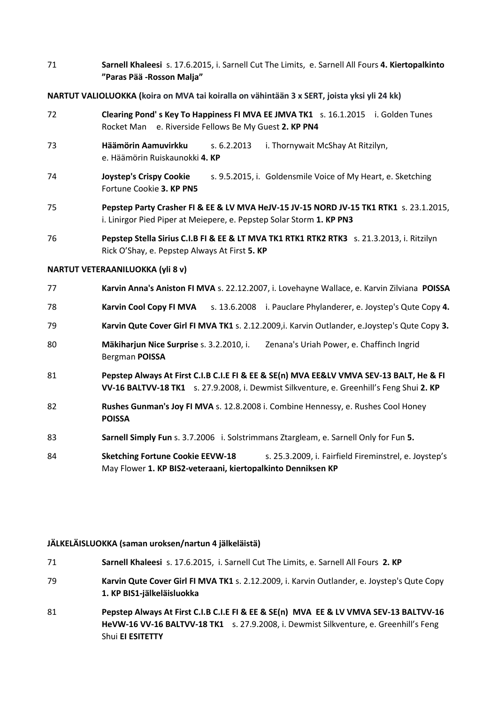71 **Sarnell Khaleesi** s. 17.6.2015, i. Sarnell Cut The Limits, e. Sarnell All Fours **4. Kiertopalkinto "Paras Pää -Rosson Malja"**

## **NARTUT VALIOLUOKKA (koira on MVA tai koiralla on vähintään 3 x SERT, joista yksi yli 24 kk)**

- 72 **Clearing Pond' s Key To Happiness FI MVA EE JMVA TK1** s. 16.1.2015 i. Golden Tunes Rocket Man e. Riverside Fellows Be My Guest **2. KP PN4**
- 73 **Häämörin Aamuvirkku** s. 6.2.2013 i. Thornywait McShay At Ritzilyn, e. Häämörin Ruiskaunokki **4. KP**
- 74 **Joystep's Crispy Cookie** s. 9.5.2015, i. Goldensmile Voice of My Heart, e. Sketching Fortune Cookie **3. KP PN5**
- 75 **Pepstep Party Crasher FI & EE & LV MVA HeJV-15 JV-15 NORD JV-15 TK1 RTK1** s. 23.1.2015, i. Linirgor Pied Piper at Meiepere, e. Pepstep Solar Storm **1. KP PN3**
- 76 **Pepstep Stella Sirius C.I.B FI & EE & LT MVA TK1 RTK1 RTK2 RTK3** s. 21.3.2013, i. Ritzilyn Rick O'Shay, e. Pepstep Always At First **5. KP**

## **NARTUT VETERAANILUOKKA (yli 8 v)**

| 77 | Karvin Anna's Aniston FI MVA s. 22.12.2007, i. Lovehayne Wallace, e. Karvin Zilviana POISSA                                                                                         |  |
|----|-------------------------------------------------------------------------------------------------------------------------------------------------------------------------------------|--|
| 78 | <b>Karvin Cool Copy FI MVA</b><br>s. 13.6.2008 i. Pauclare Phylanderer, e. Joystep's Qute Copy 4.                                                                                   |  |
| 79 | Karvin Qute Cover Girl FI MVA TK1 s. 2.12.2009,i. Karvin Outlander, e.Joystep's Qute Copy 3.                                                                                        |  |
| 80 | Mäkiharjun Nice Surprise s. 3.2.2010, i.<br>Zenana's Uriah Power, e. Chaffinch Ingrid<br>Bergman <b>POISSA</b>                                                                      |  |
| 81 | Pepstep Always At First C.I.B C.I.E FI & EE & SE(n) MVA EE&LV VMVA SEV-13 BALT, He & FI<br>VV-16 BALTVV-18 TK1 5. 27.9.2008, i. Dewmist Silkventure, e. Greenhill's Feng Shui 2. KP |  |
| 82 | Rushes Gunman's Joy FI MVA s. 12.8.2008 i. Combine Hennessy, e. Rushes Cool Honey<br><b>POISSA</b>                                                                                  |  |
| 83 | Sarnell Simply Fun s. 3.7.2006 i. Solstrimmans Ztargleam, e. Sarnell Only for Fun 5.                                                                                                |  |
| 84 | <b>Sketching Fortune Cookie EEVW-18</b><br>s. 25.3.2009, i. Fairfield Fireminstrel, e. Joystep's                                                                                    |  |

## **JÄLKELÄISLUOKKA (saman uroksen/nartun 4 jälkeläistä)**

71 **Sarnell Khaleesi** s. 17.6.2015, i. Sarnell Cut The Limits, e. Sarnell All Fours **2. KP**

May Flower **1. KP BIS2-veteraani, kiertopalkinto Denniksen KP**

- 79 **Karvin Qute Cover Girl FI MVA TK1** s. 2.12.2009, i. Karvin Outlander, e. Joystep's Qute Copy **1. KP BIS1-jälkeläisluokka**
- 81 **Pepstep Always At First C.I.B C.I.E FI & EE & SE(n) MVA EE & LV VMVA SEV-13 BALTVV-16 HeVW-16 VV-16 BALTVV-18 TK1** s. 27.9.2008, i. Dewmist Silkventure, e. Greenhill's Feng Shui **EI ESITETTY**